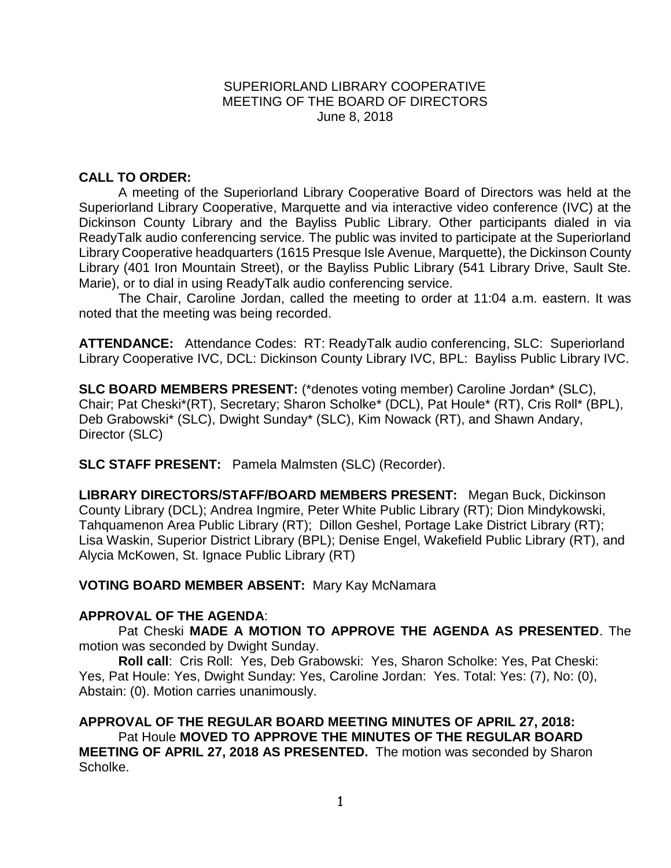### SUPERIORLAND LIBRARY COOPERATIVE MEETING OF THE BOARD OF DIRECTORS June 8, 2018

## **CALL TO ORDER:**

A meeting of the Superiorland Library Cooperative Board of Directors was held at the Superiorland Library Cooperative, Marquette and via interactive video conference (IVC) at the Dickinson County Library and the Bayliss Public Library. Other participants dialed in via ReadyTalk audio conferencing service. The public was invited to participate at the Superiorland Library Cooperative headquarters (1615 Presque Isle Avenue, Marquette), the Dickinson County Library (401 Iron Mountain Street), or the Bayliss Public Library (541 Library Drive, Sault Ste. Marie), or to dial in using ReadyTalk audio conferencing service.

The Chair, Caroline Jordan, called the meeting to order at 11:04 a.m. eastern. It was noted that the meeting was being recorded.

**ATTENDANCE:** Attendance Codes: RT: ReadyTalk audio conferencing, SLC: Superiorland Library Cooperative IVC, DCL: Dickinson County Library IVC, BPL: Bayliss Public Library IVC.

**SLC BOARD MEMBERS PRESENT:** (\*denotes voting member) Caroline Jordan\* (SLC), Chair; Pat Cheski\*(RT), Secretary; Sharon Scholke\* (DCL), Pat Houle\* (RT), Cris Roll\* (BPL), Deb Grabowski\* (SLC), Dwight Sunday\* (SLC), Kim Nowack (RT), and Shawn Andary, Director (SLC)

**SLC STAFF PRESENT:** Pamela Malmsten (SLC) (Recorder).

**LIBRARY DIRECTORS/STAFF/BOARD MEMBERS PRESENT:** Megan Buck, Dickinson County Library (DCL); Andrea Ingmire, Peter White Public Library (RT); Dion Mindykowski, Tahquamenon Area Public Library (RT); Dillon Geshel, Portage Lake District Library (RT); Lisa Waskin, Superior District Library (BPL); Denise Engel, Wakefield Public Library (RT), and Alycia McKowen, St. Ignace Public Library (RT)

**VOTING BOARD MEMBER ABSENT:** Mary Kay McNamara

## **APPROVAL OF THE AGENDA**:

Pat Cheski **MADE A MOTION TO APPROVE THE AGENDA AS PRESENTED**. The motion was seconded by Dwight Sunday.

**Roll call**: Cris Roll: Yes, Deb Grabowski: Yes, Sharon Scholke: Yes, Pat Cheski: Yes, Pat Houle: Yes, Dwight Sunday: Yes, Caroline Jordan: Yes. Total: Yes: (7), No: (0), Abstain: (0). Motion carries unanimously.

**APPROVAL OF THE REGULAR BOARD MEETING MINUTES OF APRIL 27, 2018:**  Pat Houle **MOVED TO APPROVE THE MINUTES OF THE REGULAR BOARD MEETING OF APRIL 27, 2018 AS PRESENTED.** The motion was seconded by Sharon Scholke.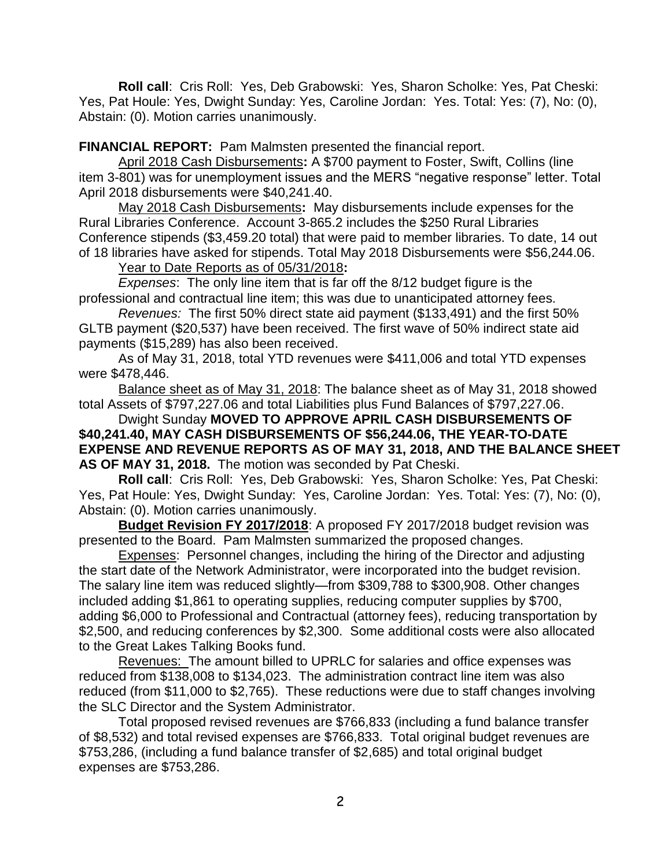**Roll call**: Cris Roll: Yes, Deb Grabowski: Yes, Sharon Scholke: Yes, Pat Cheski: Yes, Pat Houle: Yes, Dwight Sunday: Yes, Caroline Jordan: Yes. Total: Yes: (7), No: (0), Abstain: (0). Motion carries unanimously.

**FINANCIAL REPORT:** Pam Malmsten presented the financial report.

April 2018 Cash Disbursements**:** A \$700 payment to Foster, Swift, Collins (line item 3-801) was for unemployment issues and the MERS "negative response" letter. Total April 2018 disbursements were \$40,241.40.

May 2018 Cash Disbursements**:** May disbursements include expenses for the Rural Libraries Conference. Account 3-865.2 includes the \$250 Rural Libraries Conference stipends (\$3,459.20 total) that were paid to member libraries. To date, 14 out of 18 libraries have asked for stipends. Total May 2018 Disbursements were \$56,244.06.

Year to Date Reports as of 05/31/2018**:** 

*Expenses*: The only line item that is far off the 8/12 budget figure is the professional and contractual line item; this was due to unanticipated attorney fees.

*Revenues:* The first 50% direct state aid payment (\$133,491) and the first 50% GLTB payment (\$20,537) have been received. The first wave of 50% indirect state aid payments (\$15,289) has also been received.

As of May 31, 2018, total YTD revenues were \$411,006 and total YTD expenses were \$478,446.

Balance sheet as of May 31, 2018: The balance sheet as of May 31, 2018 showed total Assets of \$797,227.06 and total Liabilities plus Fund Balances of \$797,227.06.

Dwight Sunday **MOVED TO APPROVE APRIL CASH DISBURSEMENTS OF \$40,241.40, MAY CASH DISBURSEMENTS OF \$56,244.06, THE YEAR-TO-DATE EXPENSE AND REVENUE REPORTS AS OF MAY 31, 2018, AND THE BALANCE SHEET AS OF MAY 31, 2018.** The motion was seconded by Pat Cheski.

**Roll call**: Cris Roll: Yes, Deb Grabowski: Yes, Sharon Scholke: Yes, Pat Cheski: Yes, Pat Houle: Yes, Dwight Sunday: Yes, Caroline Jordan: Yes. Total: Yes: (7), No: (0), Abstain: (0). Motion carries unanimously.

**Budget Revision FY 2017/2018**: A proposed FY 2017/2018 budget revision was presented to the Board. Pam Malmsten summarized the proposed changes.

Expenses: Personnel changes, including the hiring of the Director and adjusting the start date of the Network Administrator, were incorporated into the budget revision. The salary line item was reduced slightly—from \$309,788 to \$300,908. Other changes included adding \$1,861 to operating supplies, reducing computer supplies by \$700, adding \$6,000 to Professional and Contractual (attorney fees), reducing transportation by \$2,500, and reducing conferences by \$2,300. Some additional costs were also allocated to the Great Lakes Talking Books fund.

Revenues: The amount billed to UPRLC for salaries and office expenses was reduced from \$138,008 to \$134,023. The administration contract line item was also reduced (from \$11,000 to \$2,765). These reductions were due to staff changes involving the SLC Director and the System Administrator.

Total proposed revised revenues are \$766,833 (including a fund balance transfer of \$8,532) and total revised expenses are \$766,833. Total original budget revenues are \$753,286, (including a fund balance transfer of \$2,685) and total original budget expenses are \$753,286.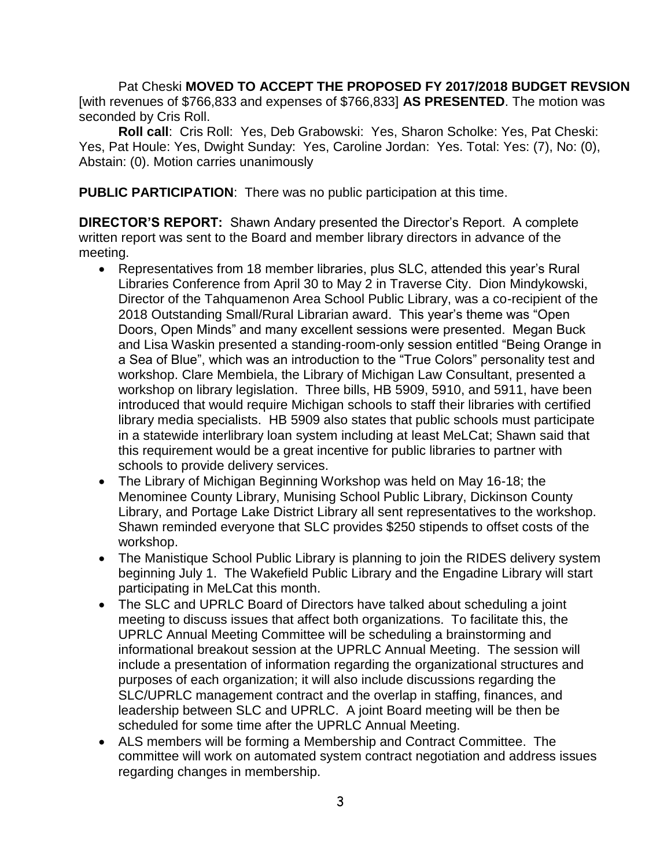Pat Cheski **MOVED TO ACCEPT THE PROPOSED FY 2017/2018 BUDGET REVSION**  [with revenues of \$766,833 and expenses of \$766,833] **AS PRESENTED**. The motion was seconded by Cris Roll.

**Roll call**: Cris Roll: Yes, Deb Grabowski: Yes, Sharon Scholke: Yes, Pat Cheski: Yes, Pat Houle: Yes, Dwight Sunday: Yes, Caroline Jordan: Yes. Total: Yes: (7), No: (0), Abstain: (0). Motion carries unanimously

**PUBLIC PARTICIPATION**: There was no public participation at this time.

**DIRECTOR'S REPORT:** Shawn Andary presented the Director's Report. A complete written report was sent to the Board and member library directors in advance of the meeting.

- Representatives from 18 member libraries, plus SLC, attended this year's Rural Libraries Conference from April 30 to May 2 in Traverse City. Dion Mindykowski, Director of the Tahquamenon Area School Public Library, was a co-recipient of the 2018 Outstanding Small/Rural Librarian award. This year's theme was "Open Doors, Open Minds" and many excellent sessions were presented. Megan Buck and Lisa Waskin presented a standing-room-only session entitled "Being Orange in a Sea of Blue", which was an introduction to the "True Colors" personality test and workshop. Clare Membiela, the Library of Michigan Law Consultant, presented a workshop on library legislation. Three bills, HB 5909, 5910, and 5911, have been introduced that would require Michigan schools to staff their libraries with certified library media specialists. HB 5909 also states that public schools must participate in a statewide interlibrary loan system including at least MeLCat; Shawn said that this requirement would be a great incentive for public libraries to partner with schools to provide delivery services.
- The Library of Michigan Beginning Workshop was held on May 16-18; the Menominee County Library, Munising School Public Library, Dickinson County Library, and Portage Lake District Library all sent representatives to the workshop. Shawn reminded everyone that SLC provides \$250 stipends to offset costs of the workshop.
- The Manistique School Public Library is planning to join the RIDES delivery system beginning July 1. The Wakefield Public Library and the Engadine Library will start participating in MeLCat this month.
- The SLC and UPRLC Board of Directors have talked about scheduling a joint meeting to discuss issues that affect both organizations. To facilitate this, the UPRLC Annual Meeting Committee will be scheduling a brainstorming and informational breakout session at the UPRLC Annual Meeting. The session will include a presentation of information regarding the organizational structures and purposes of each organization; it will also include discussions regarding the SLC/UPRLC management contract and the overlap in staffing, finances, and leadership between SLC and UPRLC. A joint Board meeting will be then be scheduled for some time after the UPRLC Annual Meeting.
- ALS members will be forming a Membership and Contract Committee. The committee will work on automated system contract negotiation and address issues regarding changes in membership.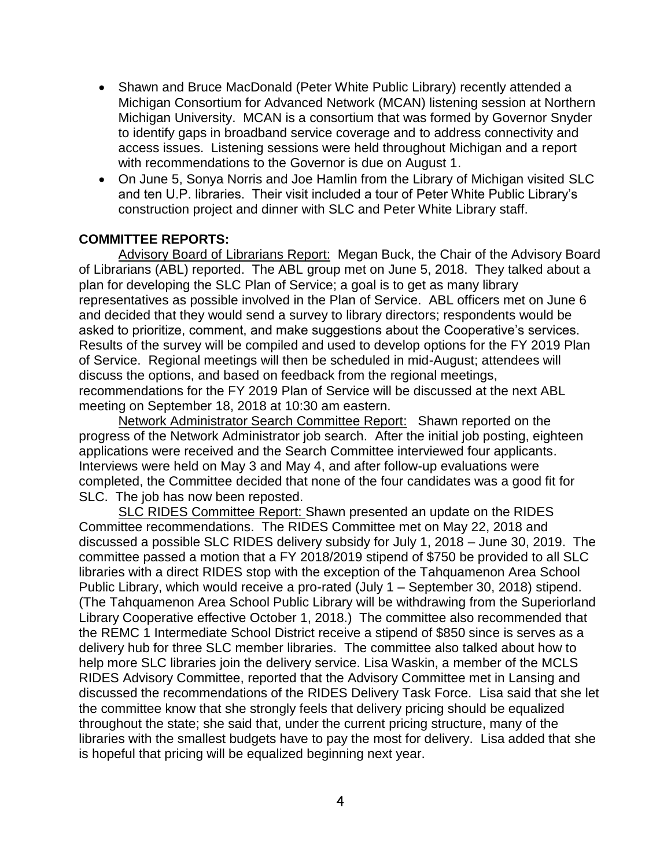- Shawn and Bruce MacDonald (Peter White Public Library) recently attended a Michigan Consortium for Advanced Network (MCAN) listening session at Northern Michigan University. MCAN is a consortium that was formed by Governor Snyder to identify gaps in broadband service coverage and to address connectivity and access issues. Listening sessions were held throughout Michigan and a report with recommendations to the Governor is due on August 1.
- On June 5, Sonya Norris and Joe Hamlin from the Library of Michigan visited SLC and ten U.P. libraries. Their visit included a tour of Peter White Public Library's construction project and dinner with SLC and Peter White Library staff.

## **COMMITTEE REPORTS:**

Advisory Board of Librarians Report: Megan Buck, the Chair of the Advisory Board of Librarians (ABL) reported. The ABL group met on June 5, 2018. They talked about a plan for developing the SLC Plan of Service; a goal is to get as many library representatives as possible involved in the Plan of Service. ABL officers met on June 6 and decided that they would send a survey to library directors; respondents would be asked to prioritize, comment, and make suggestions about the Cooperative's services. Results of the survey will be compiled and used to develop options for the FY 2019 Plan of Service. Regional meetings will then be scheduled in mid-August; attendees will discuss the options, and based on feedback from the regional meetings, recommendations for the FY 2019 Plan of Service will be discussed at the next ABL meeting on September 18, 2018 at 10:30 am eastern.

Network Administrator Search Committee Report: Shawn reported on the progress of the Network Administrator job search. After the initial job posting, eighteen applications were received and the Search Committee interviewed four applicants. Interviews were held on May 3 and May 4, and after follow-up evaluations were completed, the Committee decided that none of the four candidates was a good fit for SLC. The job has now been reposted.

SLC RIDES Committee Report: Shawn presented an update on the RIDES Committee recommendations. The RIDES Committee met on May 22, 2018 and discussed a possible SLC RIDES delivery subsidy for July 1, 2018 – June 30, 2019. The committee passed a motion that a FY 2018/2019 stipend of \$750 be provided to all SLC libraries with a direct RIDES stop with the exception of the Tahquamenon Area School Public Library, which would receive a pro-rated (July 1 – September 30, 2018) stipend. (The Tahquamenon Area School Public Library will be withdrawing from the Superiorland Library Cooperative effective October 1, 2018.) The committee also recommended that the REMC 1 Intermediate School District receive a stipend of \$850 since is serves as a delivery hub for three SLC member libraries. The committee also talked about how to help more SLC libraries join the delivery service. Lisa Waskin, a member of the MCLS RIDES Advisory Committee, reported that the Advisory Committee met in Lansing and discussed the recommendations of the RIDES Delivery Task Force. Lisa said that she let the committee know that she strongly feels that delivery pricing should be equalized throughout the state; she said that, under the current pricing structure, many of the libraries with the smallest budgets have to pay the most for delivery. Lisa added that she is hopeful that pricing will be equalized beginning next year.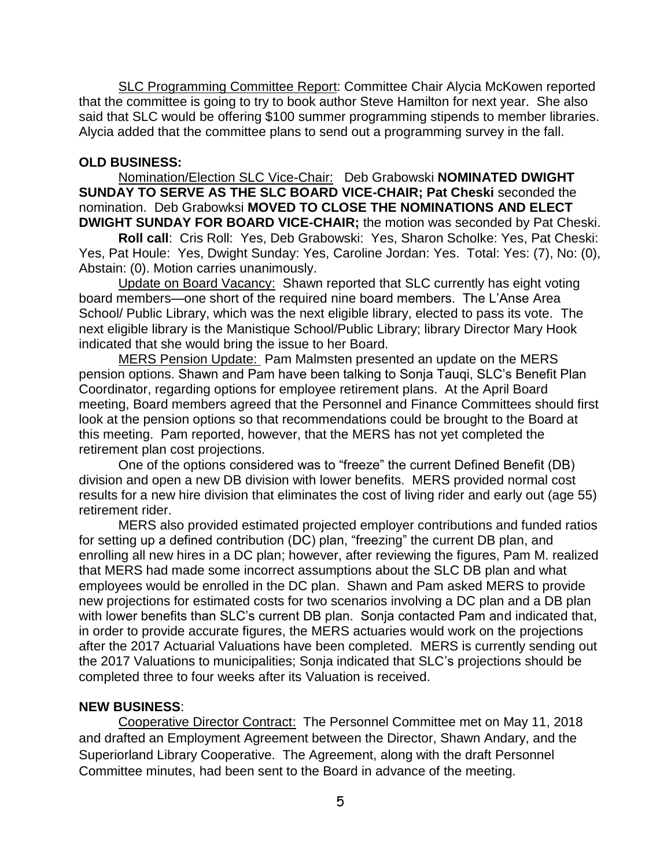SLC Programming Committee Report: Committee Chair Alycia McKowen reported that the committee is going to try to book author Steve Hamilton for next year. She also said that SLC would be offering \$100 summer programming stipends to member libraries. Alycia added that the committee plans to send out a programming survey in the fall.

#### **OLD BUSINESS:**

Nomination/Election SLC Vice-Chair: Deb Grabowski **NOMINATED DWIGHT SUNDAY TO SERVE AS THE SLC BOARD VICE-CHAIR; Pat Cheski** seconded the nomination. Deb Grabowksi **MOVED TO CLOSE THE NOMINATIONS AND ELECT DWIGHT SUNDAY FOR BOARD VICE-CHAIR;** the motion was seconded by Pat Cheski.

**Roll call**: Cris Roll: Yes, Deb Grabowski: Yes, Sharon Scholke: Yes, Pat Cheski: Yes, Pat Houle: Yes, Dwight Sunday: Yes, Caroline Jordan: Yes. Total: Yes: (7), No: (0), Abstain: (0). Motion carries unanimously.

Update on Board Vacancy: Shawn reported that SLC currently has eight voting board members—one short of the required nine board members. The L'Anse Area School/ Public Library, which was the next eligible library, elected to pass its vote. The next eligible library is the Manistique School/Public Library; library Director Mary Hook indicated that she would bring the issue to her Board.

MERS Pension Update: Pam Malmsten presented an update on the MERS pension options. Shawn and Pam have been talking to Sonja Tauqi, SLC's Benefit Plan Coordinator, regarding options for employee retirement plans. At the April Board meeting, Board members agreed that the Personnel and Finance Committees should first look at the pension options so that recommendations could be brought to the Board at this meeting. Pam reported, however, that the MERS has not yet completed the retirement plan cost projections.

One of the options considered was to "freeze" the current Defined Benefit (DB) division and open a new DB division with lower benefits. MERS provided normal cost results for a new hire division that eliminates the cost of living rider and early out (age 55) retirement rider.

MERS also provided estimated projected employer contributions and funded ratios for setting up a defined contribution (DC) plan, "freezing" the current DB plan, and enrolling all new hires in a DC plan; however, after reviewing the figures, Pam M. realized that MERS had made some incorrect assumptions about the SLC DB plan and what employees would be enrolled in the DC plan. Shawn and Pam asked MERS to provide new projections for estimated costs for two scenarios involving a DC plan and a DB plan with lower benefits than SLC's current DB plan. Sonja contacted Pam and indicated that, in order to provide accurate figures, the MERS actuaries would work on the projections after the 2017 Actuarial Valuations have been completed. MERS is currently sending out the 2017 Valuations to municipalities; Sonja indicated that SLC's projections should be completed three to four weeks after its Valuation is received.

#### **NEW BUSINESS**:

Cooperative Director Contract: The Personnel Committee met on May 11, 2018 and drafted an Employment Agreement between the Director, Shawn Andary, and the Superiorland Library Cooperative. The Agreement, along with the draft Personnel Committee minutes, had been sent to the Board in advance of the meeting.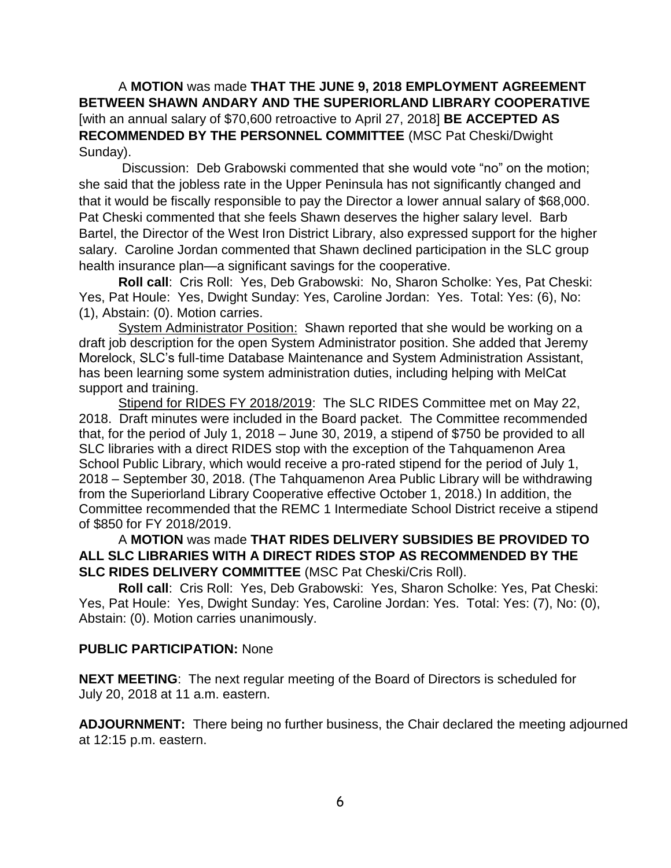A **MOTION** was made **THAT THE JUNE 9, 2018 EMPLOYMENT AGREEMENT BETWEEN SHAWN ANDARY AND THE SUPERIORLAND LIBRARY COOPERATIVE**  [with an annual salary of \$70,600 retroactive to April 27, 2018] **BE ACCEPTED AS RECOMMENDED BY THE PERSONNEL COMMITTEE** (MSC Pat Cheski/Dwight Sunday).

Discussion: Deb Grabowski commented that she would vote "no" on the motion; she said that the jobless rate in the Upper Peninsula has not significantly changed and that it would be fiscally responsible to pay the Director a lower annual salary of \$68,000. Pat Cheski commented that she feels Shawn deserves the higher salary level. Barb Bartel, the Director of the West Iron District Library, also expressed support for the higher salary. Caroline Jordan commented that Shawn declined participation in the SLC group health insurance plan—a significant savings for the cooperative.

**Roll call**: Cris Roll: Yes, Deb Grabowski: No, Sharon Scholke: Yes, Pat Cheski: Yes, Pat Houle: Yes, Dwight Sunday: Yes, Caroline Jordan: Yes. Total: Yes: (6), No: (1), Abstain: (0). Motion carries.

System Administrator Position: Shawn reported that she would be working on a draft job description for the open System Administrator position. She added that Jeremy Morelock, SLC's full-time Database Maintenance and System Administration Assistant, has been learning some system administration duties, including helping with MelCat support and training.

Stipend for RIDES FY 2018/2019: The SLC RIDES Committee met on May 22, 2018. Draft minutes were included in the Board packet. The Committee recommended that, for the period of July 1, 2018 – June 30, 2019, a stipend of \$750 be provided to all SLC libraries with a direct RIDES stop with the exception of the Tahquamenon Area School Public Library, which would receive a pro-rated stipend for the period of July 1, 2018 – September 30, 2018. (The Tahquamenon Area Public Library will be withdrawing from the Superiorland Library Cooperative effective October 1, 2018.) In addition, the Committee recommended that the REMC 1 Intermediate School District receive a stipend of \$850 for FY 2018/2019.

# A **MOTION** was made **THAT RIDES DELIVERY SUBSIDIES BE PROVIDED TO ALL SLC LIBRARIES WITH A DIRECT RIDES STOP AS RECOMMENDED BY THE SLC RIDES DELIVERY COMMITTEE** (MSC Pat Cheski/Cris Roll).

**Roll call**: Cris Roll: Yes, Deb Grabowski: Yes, Sharon Scholke: Yes, Pat Cheski: Yes, Pat Houle: Yes, Dwight Sunday: Yes, Caroline Jordan: Yes. Total: Yes: (7), No: (0), Abstain: (0). Motion carries unanimously.

## **PUBLIC PARTICIPATION:** None

**NEXT MEETING**: The next regular meeting of the Board of Directors is scheduled for July 20, 2018 at 11 a.m. eastern.

**ADJOURNMENT:** There being no further business, the Chair declared the meeting adjourned at 12:15 p.m. eastern.